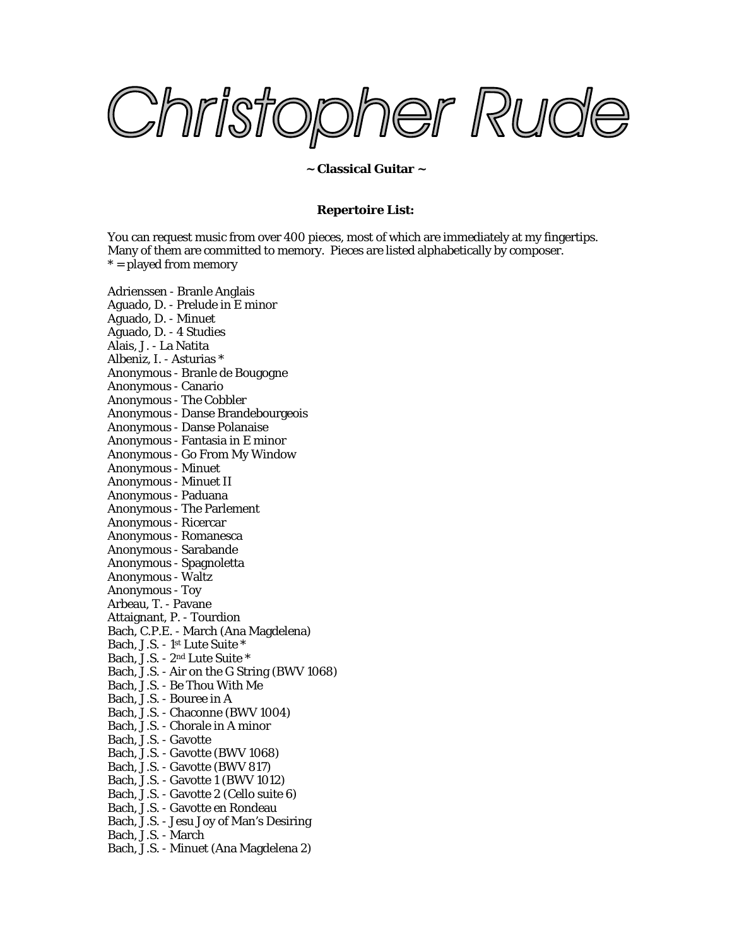Christopher Rude

## **~ Classical Guitar ~**

## **Repertoire List:**

You can request music from over 400 pieces, most of which are immediately at my fingertips. Many of them are committed to memory. Pieces are listed alphabetically by composer.  $* =$  played from memory

Adrienssen - Branle Anglais Aguado, D. - Prelude in E minor Aguado, D. - Minuet Aguado, D. - 4 Studies Alais, J. - La Natita Albeniz, I. - Asturias \* Anonymous - Branle de Bougogne Anonymous - Canario Anonymous - The Cobbler Anonymous - Danse Brandebourgeois Anonymous - Danse Polanaise Anonymous - Fantasia in E minor Anonymous - Go From My Window Anonymous - Minuet Anonymous - Minuet II Anonymous - Paduana Anonymous - The Parlement Anonymous - Ricercar Anonymous - Romanesca Anonymous - Sarabande Anonymous - Spagnoletta Anonymous - Waltz Anonymous - Toy Arbeau, T. - Pavane Attaignant, P. - Tourdion Bach, C.P.E. - March (Ana Magdelena) Bach, J.S. - 1st Lute Suite \* Bach, J.S. - 2nd Lute Suite \* Bach, J.S. - Air on the G String (BWV 1068) Bach, J.S. - Be Thou With Me Bach, J.S. - Bouree in A Bach, J.S. - Chaconne (BWV 1004) Bach, J.S. - Chorale in A minor Bach, J.S. - Gavotte Bach, J.S. - Gavotte (BWV 1068) Bach, J.S. - Gavotte (BWV 817) Bach, J.S. - Gavotte 1 (BWV 1012) Bach, J.S. - Gavotte 2 (Cello suite 6) Bach, J.S. - Gavotte en Rondeau Bach, J.S. - Jesu Joy of Man's Desiring Bach, J.S. - March Bach, J.S. - Minuet (Ana Magdelena 2)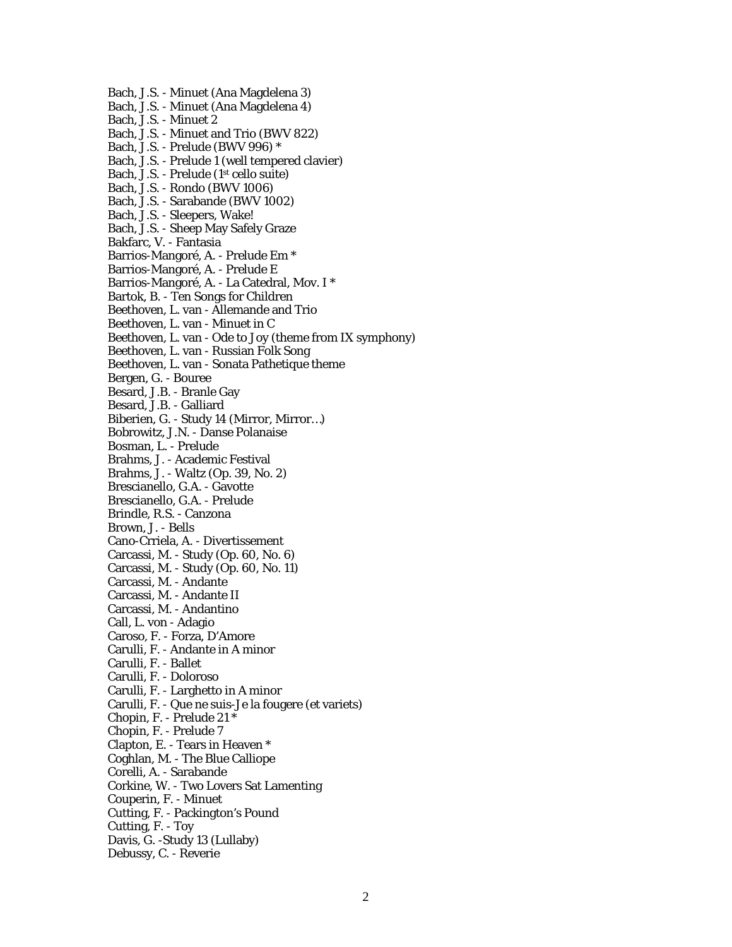Bach, J.S. - Minuet (Ana Magdelena 3) Bach, J.S. - Minuet (Ana Magdelena 4) Bach, J.S. - Minuet 2 Bach, J.S. - Minuet and Trio (BWV 822) Bach, J.S. - Prelude (BWV 996) \* Bach, J.S. - Prelude 1 (well tempered clavier) Bach, J.S. - Prelude (1st cello suite) Bach, J.S. - Rondo (BWV 1006) Bach, J.S. - Sarabande (BWV 1002) Bach, J.S. - Sleepers, Wake! Bach, J.S. - Sheep May Safely Graze Bakfarc, V. - Fantasia Barrios-Mangoré, A. - Prelude Em \* Barrios-Mangoré, A. - Prelude E Barrios-Mangoré, A. - La Catedral, Mov. I \* Bartok, B. - Ten Songs for Children Beethoven, L. van - Allemande and Trio Beethoven, L. van - Minuet in C Beethoven, L. van - Ode to Joy (theme from IX symphony) Beethoven, L. van - Russian Folk Song Beethoven, L. van - Sonata Pathetique theme Bergen, G. - Bouree Besard, J.B. - Branle Gay Besard, J.B. - Galliard Biberien, G. - Study 14 (Mirror, Mirror…) Bobrowitz, J.N. - Danse Polanaise Bosman, L. - Prelude Brahms, J. - Academic Festival Brahms, J. - Waltz (Op. 39, No. 2) Brescianello, G.A. - Gavotte Brescianello, G.A. - Prelude Brindle, R.S. - Canzona Brown, J. - Bells Cano-Crriela, A. - Divertissement Carcassi, M. - Study (Op. 60, No. 6) Carcassi, M. - Study (Op. 60, No. 11) Carcassi, M. - Andante Carcassi, M. - Andante II Carcassi, M. - Andantino Call, L. von - Adagio Caroso, F. - Forza, D'Amore Carulli, F. - Andante in A minor Carulli, F. - Ballet Carulli, F. - Doloroso Carulli, F. - Larghetto in A minor Carulli, F. - Que ne suis-Je la fougere (et variets) Chopin, F. - Prelude 21 \* Chopin, F. - Prelude 7 Clapton, E. - Tears in Heaven \* Coghlan, M. - The Blue Calliope Corelli, A. - Sarabande Corkine, W. - Two Lovers Sat Lamenting Couperin, F. - Minuet Cutting, F. - Packington's Pound Cutting, F. - Toy Davis, G. -Study 13 (Lullaby) Debussy, C. - Reverie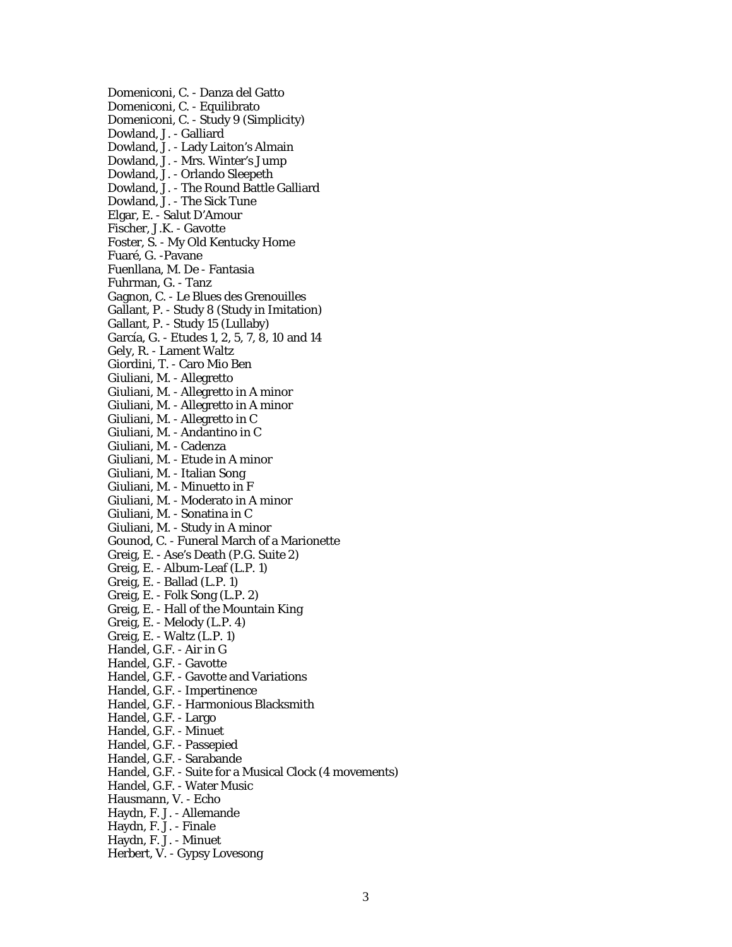Domeniconi, C. - Danza del Gatto Domeniconi, C. - Equilibrato Domeniconi, C. - Study 9 (Simplicity) Dowland, J. - Galliard Dowland, J. - Lady Laiton's Almain Dowland, J. - Mrs. Winter's Jump Dowland, J. - Orlando Sleepeth Dowland, J. - The Round Battle Galliard Dowland, J. - The Sick Tune Elgar, E. - Salut D'Amour Fischer, J.K. - Gavotte Foster, S. - My Old Kentucky Home Fuaré, G. -Pavane Fuenllana, M. De - Fantasia Fuhrman, G. - Tanz Gagnon, C. - Le Blues des Grenouilles Gallant, P. - Study 8 (Study in Imitation) Gallant, P. - Study 15 (Lullaby) García, G. - Etudes 1, 2, 5, 7, 8, 10 and 14 Gely, R. - Lament Waltz Giordini, T. - Caro Mio Ben Giuliani, M. - Allegretto Giuliani, M. - Allegretto in A minor Giuliani, M. - Allegretto in A minor Giuliani, M. - Allegretto in C Giuliani, M. - Andantino in C Giuliani, M. - Cadenza Giuliani, M. - Etude in A minor Giuliani, M. - Italian Song Giuliani, M. - Minuetto in F Giuliani, M. - Moderato in A minor Giuliani, M. - Sonatina in C Giuliani, M. - Study in A minor Gounod, C. - Funeral March of a Marionette Greig, E. - Ase's Death (P.G. Suite 2) Greig, E. - Album-Leaf (L.P. 1) Greig, E. - Ballad (L.P. 1) Greig, E. - Folk Song (L.P. 2) Greig, E. - Hall of the Mountain King Greig, E. - Melody (L.P. 4) Greig, E. - Waltz (L.P. 1) Handel, G.F. - Air in G Handel, G.F. - Gavotte Handel, G.F. - Gavotte and Variations Handel, G.F. - Impertinence Handel, G.F. - Harmonious Blacksmith Handel, G.F. - Largo Handel, G.F. - Minuet Handel, G.F. - Passepied Handel, G.F. - Sarabande Handel, G.F. - Suite for a Musical Clock (4 movements) Handel, G.F. - Water Music Hausmann, V. - Echo Haydn, F. J. - Allemande Haydn, F. J. - Finale Haydn, F. J. - Minuet Herbert, V. - Gypsy Lovesong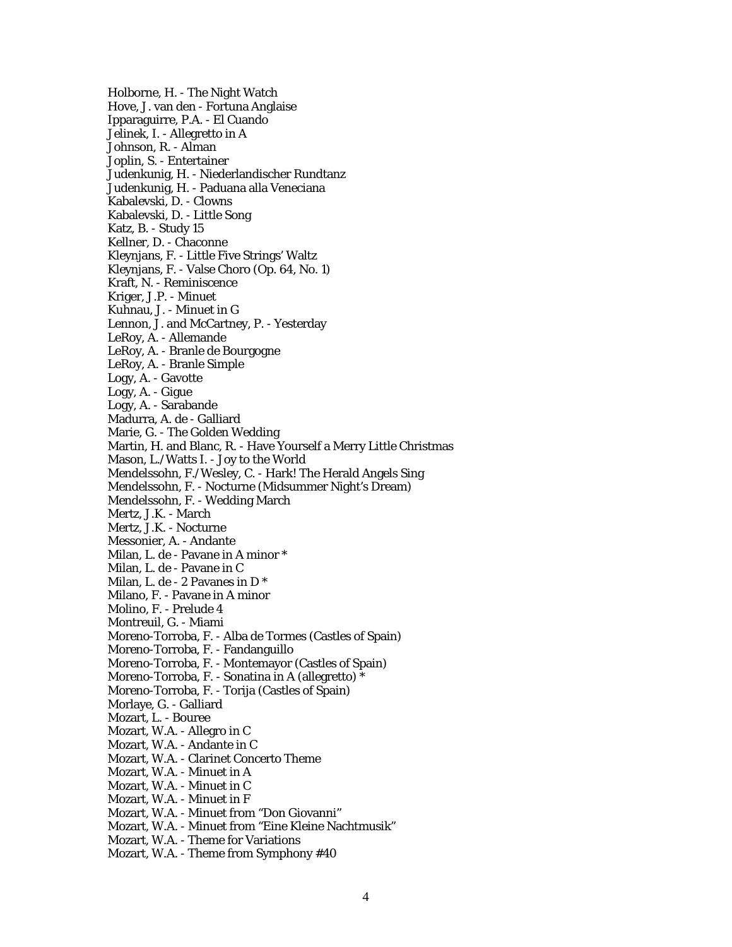Holborne, H. - The Night Watch Hove, J. van den - Fortuna Anglaise Ipparaguirre, P.A. - El Cuando Jelinek, I. - Allegretto in A Johnson, R. - Alman Joplin, S. - Entertainer Judenkunig, H. - Niederlandischer Rundtanz Judenkunig, H. - Paduana alla Veneciana Kabalevski, D. - Clowns Kabalevski, D. - Little Song Katz, B. - Study 15 Kellner, D. - Chaconne Kleynjans, F. - Little Five Strings' Waltz Kleynjans, F. - Valse Choro (Op. 64, No. 1) Kraft, N. - Reminiscence Kriger, J.P. - Minuet Kuhnau, J. - Minuet in G Lennon, J. and McCartney, P. - Yesterday LeRoy, A. - Allemande LeRoy, A. - Branle de Bourgogne LeRoy, A. - Branle Simple Logy, A. - Gavotte Logy, A. - Gigue Logy, A. - Sarabande Madurra, A. de - Galliard Marie, G. - The Golden Wedding Martin, H. and Blanc, R. - Have Yourself a Merry Little Christmas Mason, L./Watts I. - Joy to the World Mendelssohn, F./Wesley, C. - Hark! The Herald Angels Sing Mendelssohn, F. - Nocturne (Midsummer Night's Dream) Mendelssohn, F. - Wedding March Mertz, J.K. - March Mertz, J.K. - Nocturne Messonier, A. - Andante Milan, L. de - Pavane in A minor \* Milan, L. de - Pavane in C Milan, L. de - 2 Pavanes in D \* Milano, F. - Pavane in A minor Molino, F. - Prelude 4 Montreuil, G. - Miami Moreno-Torroba, F. - Alba de Tormes (Castles of Spain) Moreno-Torroba, F. - Fandanguillo Moreno-Torroba, F. - Montemayor (Castles of Spain) Moreno-Torroba, F. - Sonatina in A (allegretto) \* Moreno-Torroba, F. - Torija (Castles of Spain) Morlaye, G. - Galliard Mozart, L. - Bouree Mozart, W.A. - Allegro in C Mozart, W.A. - Andante in C Mozart, W.A. - Clarinet Concerto Theme Mozart, W.A. - Minuet in A Mozart, W.A. - Minuet in C Mozart, W.A. - Minuet in F Mozart, W.A. - Minuet from "Don Giovanni" Mozart, W.A. - Minuet from "Eine Kleine Nachtmusik" Mozart, W.A. - Theme for Variations Mozart, W.A. - Theme from Symphony #40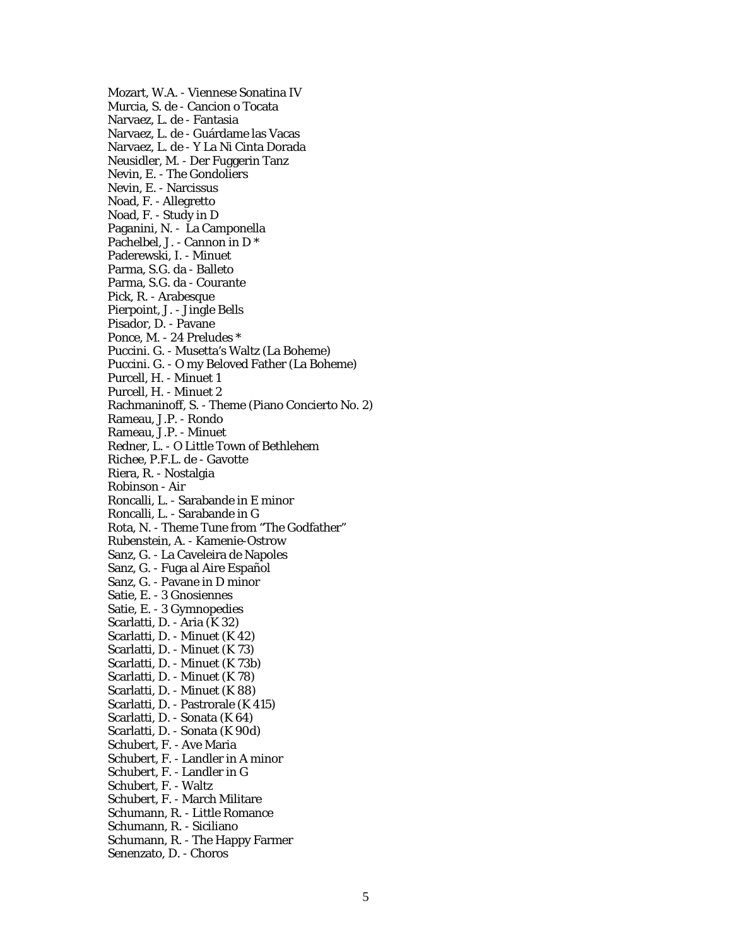Mozart, W.A. - Viennese Sonatina IV Murcia, S. de - Cancion o Tocata Narvaez, L. de - Fantasia Narvaez, L. de - Guárdame las Vacas Narvaez, L. de - Y La Ni Cinta Dorada Neusidler, M. - Der Fuggerin Tanz Nevin, E. - The Gondoliers Nevin, E. - Narcissus Noad, F. - Allegretto Noad, F. - Study in D Paganini, N. - La Camponella Pachelbel, J. - Cannon in D \* Paderewski, I. - Minuet Parma, S.G. da - Balleto Parma, S.G. da - Courante Pick, R. - Arabesque Pierpoint, J. - Jingle Bells Pisador, D. - Pavane Ponce, M. - 24 Preludes \* Puccini. G. - Musetta's Waltz (La Boheme) Puccini. G. - O my Beloved Father (La Boheme) Purcell, H. - Minuet 1 Purcell, H. - Minuet 2 Rachmaninoff, S. - Theme (Piano Concierto No. 2) Rameau, J.P. - Rondo Rameau, J.P. - Minuet Redner, L. - O Little Town of Bethlehem Richee, P.F.L. de - Gavotte Riera, R. - Nostalgia Robinson - Air Roncalli, L. - Sarabande in E minor Roncalli, L. - Sarabande in G Rota, N. - Theme Tune from "The Godfather" Rubenstein, A. - Kamenie-Ostrow Sanz, G. - La Caveleira de Napoles Sanz, G. - Fuga al Aire Español Sanz, G. - Pavane in D minor Satie, E. - 3 Gnosiennes Satie, E. - 3 Gymnopedies Scarlatti, D. - Aria (K 32) Scarlatti, D. - Minuet (K 42) Scarlatti, D. - Minuet (K 73) Scarlatti, D. - Minuet (K 73b) Scarlatti, D. - Minuet (K 78) Scarlatti, D. - Minuet (K 88) Scarlatti, D. - Pastrorale (K 415) Scarlatti, D. - Sonata (K 64) Scarlatti, D. - Sonata (K 90d) Schubert, F. - Ave Maria Schubert, F. - Landler in A minor Schubert, F. - Landler in G Schubert, F. - Waltz Schubert, F. - March Militare Schumann, R. - Little Romance Schumann, R. - Siciliano Schumann, R. - The Happy Farmer Senenzato, D. - Choros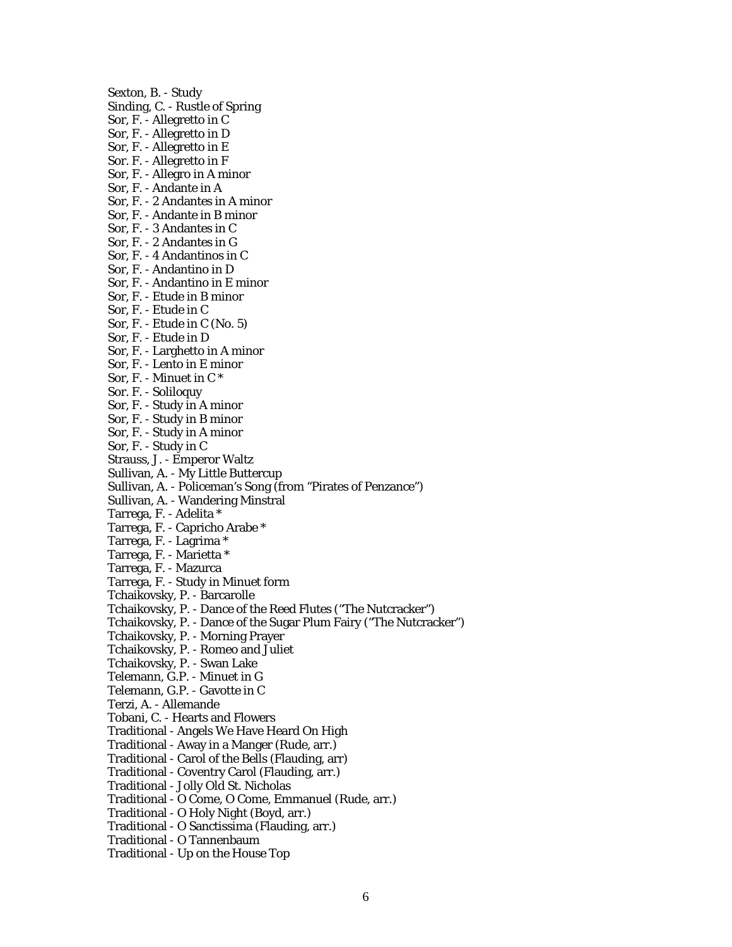Sexton, B. - Study Sinding, C. - Rustle of Spring Sor, F. - Allegretto in C Sor, F. - Allegretto in D Sor, F. - Allegretto in E Sor. F. - Allegretto in F Sor, F. - Allegro in A minor Sor, F. - Andante in A Sor, F. - 2 Andantes in A minor Sor, F. - Andante in B minor Sor, F. - 3 Andantes in C Sor, F. - 2 Andantes in G Sor, F. - 4 Andantinos in C Sor, F. - Andantino in D Sor, F. - Andantino in E minor Sor, F. - Etude in B minor Sor, F. - Etude in C Sor, F. - Etude in C (No. 5) Sor, F. - Etude in D Sor, F. - Larghetto in A minor Sor, F. - Lento in E minor Sor, F. - Minuet in C \* Sor. F. - Soliloquy Sor, F. - Study in A minor Sor, F. - Study in B minor Sor, F. - Study in A minor Sor, F. - Study in C Strauss, J. - Emperor Waltz Sullivan, A. - My Little Buttercup Sullivan, A. - Policeman's Song (from "Pirates of Penzance") Sullivan, A. - Wandering Minstral Tarrega, F. - Adelita \* Tarrega, F. - Capricho Arabe \* Tarrega, F. - Lagrima \* Tarrega, F. - Marietta \* Tarrega, F. - Mazurca Tarrega, F. - Study in Minuet form Tchaikovsky, P. - Barcarolle Tchaikovsky, P. - Dance of the Reed Flutes ("The Nutcracker") Tchaikovsky, P. - Dance of the Sugar Plum Fairy ("The Nutcracker") Tchaikovsky, P. - Morning Prayer Tchaikovsky, P. - Romeo and Juliet Tchaikovsky, P. - Swan Lake Telemann, G.P. - Minuet in G Telemann, G.P. - Gavotte in C Terzi, A. - Allemande Tobani, C. - Hearts and Flowers Traditional - Angels We Have Heard On High Traditional - Away in a Manger (Rude, arr.) Traditional - Carol of the Bells (Flauding, arr) Traditional - Coventry Carol (Flauding, arr.) Traditional - Jolly Old St. Nicholas Traditional - O Come, O Come, Emmanuel (Rude, arr.) Traditional - O Holy Night (Boyd, arr.) Traditional - O Sanctissima (Flauding, arr.) Traditional - O Tannenbaum

Traditional - Up on the House Top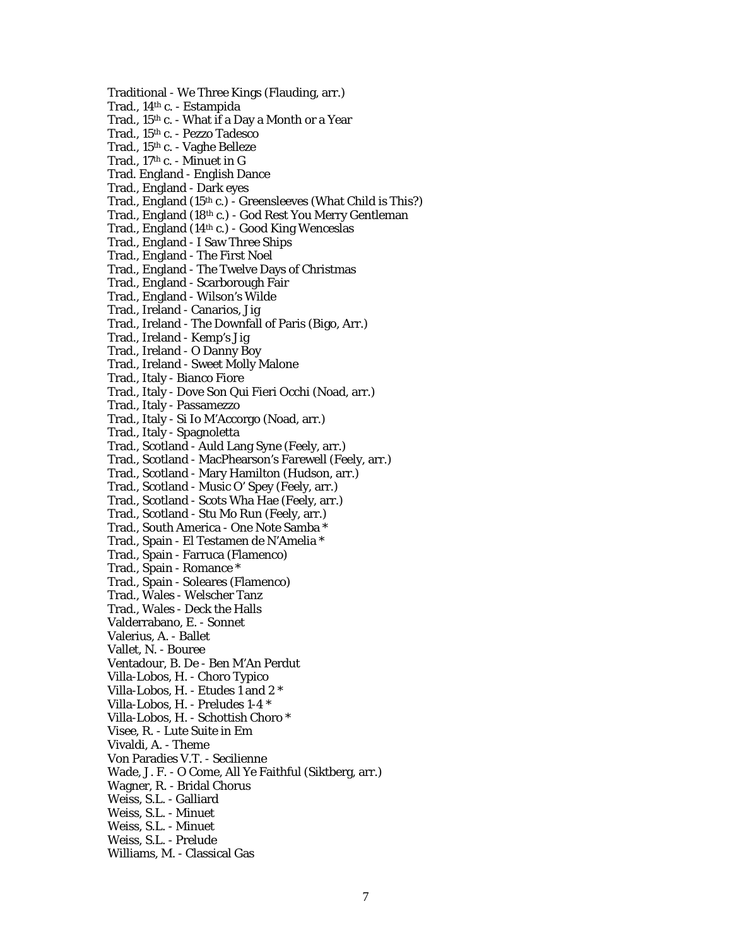- Traditional We Three Kings (Flauding, arr.)
- Trad., 14th c. Estampida
- Trad., 15th c. What if a Day a Month or a Year
- Trad., 15th c. Pezzo Tadesco
- Trad., 15th c. Vaghe Belleze
- Trad.,  $17<sup>th</sup>$  c. Minuet in G
- Trad. England English Dance
- Trad., England Dark eyes
- Trad., England (15th c.) Greensleeves (What Child is This?)
- Trad., England (18th c.) God Rest You Merry Gentleman
- Trad., England (14th c.) Good King Wenceslas
- Trad., England I Saw Three Ships
- Trad., England The First Noel
- Trad., England The Twelve Days of Christmas
- Trad., England Scarborough Fair
- Trad., England Wilson's Wilde
- Trad., Ireland Canarios, Jig
- Trad., Ireland The Downfall of Paris (Bigo, Arr.)
- Trad., Ireland Kemp's Jig
- Trad., Ireland O Danny Boy
- Trad., Ireland Sweet Molly Malone
- Trad., Italy Bianco Fiore
- Trad., Italy Dove Son Qui Fieri Occhi (Noad, arr.)
- Trad., Italy Passamezzo
- Trad., Italy Si Io M'Accorgo (Noad, arr.)
- Trad., Italy Spagnoletta
- Trad., Scotland Auld Lang Syne (Feely, arr.)
- Trad., Scotland MacPhearson's Farewell (Feely, arr.)
- Trad., Scotland Mary Hamilton (Hudson, arr.)
- Trad., Scotland Music O' Spey (Feely, arr.)
- Trad., Scotland Scots Wha Hae (Feely, arr.)
- Trad., Scotland Stu Mo Run (Feely, arr.)
- Trad., South America One Note Samba \*
- Trad., Spain El Testamen de N'Amelia \*
- Trad., Spain Farruca (Flamenco)
- Trad., Spain Romance \*
- Trad., Spain Soleares (Flamenco)
- Trad., Wales Welscher Tanz
- Trad., Wales Deck the Halls
- Valderrabano, E. Sonnet
- Valerius, A. Ballet
- Vallet, N. Bouree
- Ventadour, B. De Ben M'An Perdut
- Villa-Lobos, H. Choro Typico
- Villa-Lobos, H. Etudes 1 and 2 \*
- Villa-Lobos, H. Preludes 1-4 \*
- Villa-Lobos, H. Schottish Choro \*
- Visee, R. Lute Suite in Em
- Vivaldi, A. Theme
- Von Paradies V.T. Secilienne
- Wade, J. F. O Come, All Ye Faithful (Siktberg, arr.)
- Wagner, R. Bridal Chorus
- Weiss, S.L. Galliard
- Weiss, S.L. Minuet
- Weiss, S.L. Minuet
- Weiss, S.L. Prelude
- Williams, M. Classical Gas